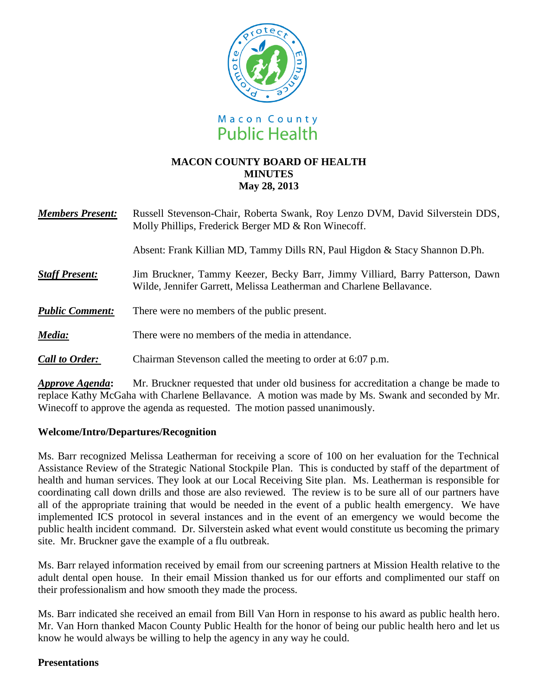

# **MACON COUNTY BOARD OF HEALTH MINUTES May 28, 2013**

| <b>Members Present:</b> | Russell Stevenson-Chair, Roberta Swank, Roy Lenzo DVM, David Silverstein DDS,<br>Molly Phillips, Frederick Berger MD & Ron Winecoff.                  |
|-------------------------|-------------------------------------------------------------------------------------------------------------------------------------------------------|
|                         | Absent: Frank Killian MD, Tammy Dills RN, Paul Higdon & Stacy Shannon D.Ph.                                                                           |
| <b>Staff Present:</b>   | Jim Bruckner, Tammy Keezer, Becky Barr, Jimmy Villiard, Barry Patterson, Dawn<br>Wilde, Jennifer Garrett, Melissa Leatherman and Charlene Bellavance. |
| <b>Public Comment:</b>  | There were no members of the public present.                                                                                                          |
| Media:                  | There were no members of the media in attendance.                                                                                                     |
| <b>Call to Order:</b>   | Chairman Stevenson called the meeting to order at 6:07 p.m.                                                                                           |

*Approve Agenda***:** Mr. Bruckner requested that under old business for accreditation a change be made to replace Kathy McGaha with Charlene Bellavance. A motion was made by Ms. Swank and seconded by Mr. Winecoff to approve the agenda as requested. The motion passed unanimously.

### **Welcome/Intro/Departures/Recognition**

Ms. Barr recognized Melissa Leatherman for receiving a score of 100 on her evaluation for the Technical Assistance Review of the Strategic National Stockpile Plan. This is conducted by staff of the department of health and human services. They look at our Local Receiving Site plan. Ms. Leatherman is responsible for coordinating call down drills and those are also reviewed. The review is to be sure all of our partners have all of the appropriate training that would be needed in the event of a public health emergency. We have implemented ICS protocol in several instances and in the event of an emergency we would become the public health incident command. Dr. Silverstein asked what event would constitute us becoming the primary site. Mr. Bruckner gave the example of a flu outbreak.

Ms. Barr relayed information received by email from our screening partners at Mission Health relative to the adult dental open house. In their email Mission thanked us for our efforts and complimented our staff on their professionalism and how smooth they made the process.

Ms. Barr indicated she received an email from Bill Van Horn in response to his award as public health hero. Mr. Van Horn thanked Macon County Public Health for the honor of being our public health hero and let us know he would always be willing to help the agency in any way he could.

#### **Presentations**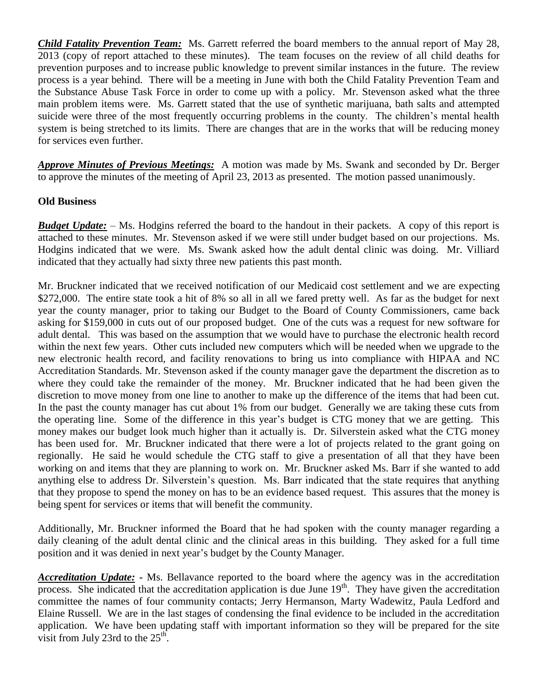*Child Fatality Prevention Team:*Ms. Garrett referred the board members to the annual report of May 28, 2013 (copy of report attached to these minutes). The team focuses on the review of all child deaths for prevention purposes and to increase public knowledge to prevent similar instances in the future. The review process is a year behind. There will be a meeting in June with both the Child Fatality Prevention Team and the Substance Abuse Task Force in order to come up with a policy. Mr. Stevenson asked what the three main problem items were. Ms. Garrett stated that the use of synthetic marijuana, bath salts and attempted suicide were three of the most frequently occurring problems in the county. The children's mental health system is being stretched to its limits. There are changes that are in the works that will be reducing money for services even further.

*Approve Minutes of Previous Meetings:*A motion was made by Ms. Swank and seconded by Dr. Berger to approve the minutes of the meeting of April 23, 2013 as presented. The motion passed unanimously.

#### **Old Business**

*Budget Update:* – Ms. Hodgins referred the board to the handout in their packets. A copy of this report is attached to these minutes. Mr. Stevenson asked if we were still under budget based on our projections. Ms. Hodgins indicated that we were. Ms. Swank asked how the adult dental clinic was doing. Mr. Villiard indicated that they actually had sixty three new patients this past month.

Mr. Bruckner indicated that we received notification of our Medicaid cost settlement and we are expecting \$272,000. The entire state took a hit of 8% so all in all we fared pretty well. As far as the budget for next year the county manager, prior to taking our Budget to the Board of County Commissioners, came back asking for \$159,000 in cuts out of our proposed budget. One of the cuts was a request for new software for adult dental. This was based on the assumption that we would have to purchase the electronic health record within the next few years. Other cuts included new computers which will be needed when we upgrade to the new electronic health record, and facility renovations to bring us into compliance with HIPAA and NC Accreditation Standards. Mr. Stevenson asked if the county manager gave the department the discretion as to where they could take the remainder of the money. Mr. Bruckner indicated that he had been given the discretion to move money from one line to another to make up the difference of the items that had been cut. In the past the county manager has cut about 1% from our budget. Generally we are taking these cuts from the operating line. Some of the difference in this year's budget is CTG money that we are getting. This money makes our budget look much higher than it actually is. Dr. Silverstein asked what the CTG money has been used for. Mr. Bruckner indicated that there were a lot of projects related to the grant going on regionally. He said he would schedule the CTG staff to give a presentation of all that they have been working on and items that they are planning to work on. Mr. Bruckner asked Ms. Barr if she wanted to add anything else to address Dr. Silverstein's question. Ms. Barr indicated that the state requires that anything that they propose to spend the money on has to be an evidence based request. This assures that the money is being spent for services or items that will benefit the community.

Additionally, Mr. Bruckner informed the Board that he had spoken with the county manager regarding a daily cleaning of the adult dental clinic and the clinical areas in this building. They asked for a full time position and it was denied in next year's budget by the County Manager.

*Accreditation Update:* **-** Ms. Bellavance reported to the board where the agency was in the accreditation process. She indicated that the accreditation application is due June 19<sup>th</sup>. They have given the accreditation committee the names of four community contacts; Jerry Hermanson, Marty Wadewitz, Paula Ledford and Elaine Russell. We are in the last stages of condensing the final evidence to be included in the accreditation application. We have been updating staff with important information so they will be prepared for the site visit from July 23rd to the  $25<sup>th</sup>$ .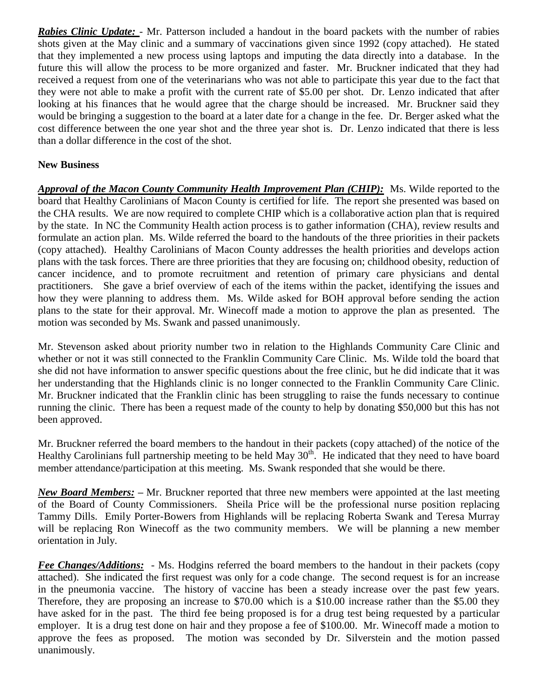*Rabies Clinic Update:* - Mr. Patterson included a handout in the board packets with the number of rabies shots given at the May clinic and a summary of vaccinations given since 1992 (copy attached). He stated that they implemented a new process using laptops and imputing the data directly into a database. In the future this will allow the process to be more organized and faster. Mr. Bruckner indicated that they had received a request from one of the veterinarians who was not able to participate this year due to the fact that they were not able to make a profit with the current rate of \$5.00 per shot. Dr. Lenzo indicated that after looking at his finances that he would agree that the charge should be increased. Mr. Bruckner said they would be bringing a suggestion to the board at a later date for a change in the fee. Dr. Berger asked what the cost difference between the one year shot and the three year shot is. Dr. Lenzo indicated that there is less than a dollar difference in the cost of the shot.

### **New Business**

*Approval of the Macon County Community Health Improvement Plan (CHIP):* Ms. Wilde reported to the board that Healthy Carolinians of Macon County is certified for life. The report she presented was based on the CHA results. We are now required to complete CHIP which is a collaborative action plan that is required by the state. In NC the Community Health action process is to gather information (CHA), review results and formulate an action plan. Ms. Wilde referred the board to the handouts of the three priorities in their packets (copy attached). Healthy Carolinians of Macon County addresses the health priorities and develops action plans with the task forces. There are three priorities that they are focusing on; childhood obesity, reduction of cancer incidence, and to promote recruitment and retention of primary care physicians and dental practitioners. She gave a brief overview of each of the items within the packet, identifying the issues and how they were planning to address them. Ms. Wilde asked for BOH approval before sending the action plans to the state for their approval. Mr. Winecoff made a motion to approve the plan as presented. The motion was seconded by Ms. Swank and passed unanimously.

Mr. Stevenson asked about priority number two in relation to the Highlands Community Care Clinic and whether or not it was still connected to the Franklin Community Care Clinic. Ms. Wilde told the board that she did not have information to answer specific questions about the free clinic, but he did indicate that it was her understanding that the Highlands clinic is no longer connected to the Franklin Community Care Clinic. Mr. Bruckner indicated that the Franklin clinic has been struggling to raise the funds necessary to continue running the clinic. There has been a request made of the county to help by donating \$50,000 but this has not been approved.

Mr. Bruckner referred the board members to the handout in their packets (copy attached) of the notice of the Healthy Carolinians full partnership meeting to be held May  $30<sup>th</sup>$ . He indicated that they need to have board member attendance/participation at this meeting. Ms. Swank responded that she would be there.

*New Board Members:* **–** Mr. Bruckner reported that three new members were appointed at the last meeting of the Board of County Commissioners. Sheila Price will be the professional nurse position replacing Tammy Dills. Emily Porter-Bowers from Highlands will be replacing Roberta Swank and Teresa Murray will be replacing Ron Winecoff as the two community members. We will be planning a new member orientation in July.

*Fee Changes/Additions:* - Ms. Hodgins referred the board members to the handout in their packets (copy attached). She indicated the first request was only for a code change. The second request is for an increase in the pneumonia vaccine. The history of vaccine has been a steady increase over the past few years. Therefore, they are proposing an increase to \$70.00 which is a \$10.00 increase rather than the \$5.00 they have asked for in the past. The third fee being proposed is for a drug test being requested by a particular employer. It is a drug test done on hair and they propose a fee of \$100.00. Mr. Winecoff made a motion to approve the fees as proposed. The motion was seconded by Dr. Silverstein and the motion passed unanimously.